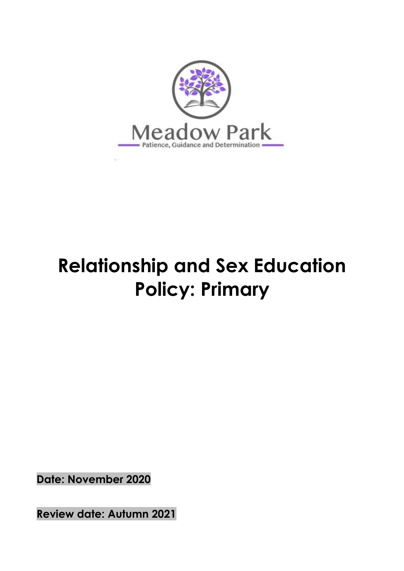

# **Relationship and Sex Education Policy: Primary**

**Date: November 2020**

**Review date: Autumn 2021**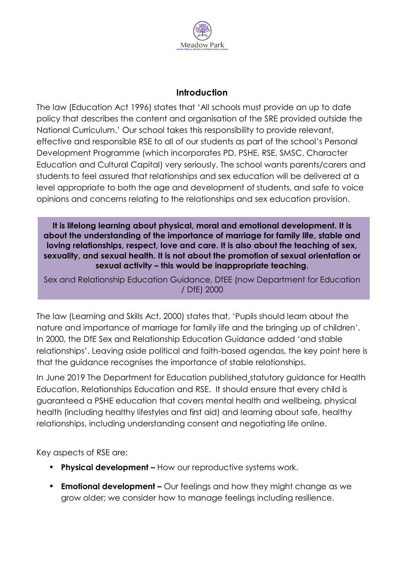

#### **Introduction**

The law (Education Act 1996) states that 'All schools must provide an up to date policy that describes the content and organisation of the SRE provided outside the National Curriculum.' Our school takes this responsibility to provide relevant, effective and responsible RSE to all of our students as part of the school's Personal Development Programme (which incorporates PD, PSHE, RSE, SMSC, Character Education and Cultural Capital) very seriously. The school wants parents/carers and students to feel assured that relationships and sex education will be delivered at a level appropriate to both the age and development of students, and safe to voice opinions and concerns relating to the relationships and sex education provision.

**It is lifelong learning about physical, moral and emotional development. It is about the understanding of the importance of marriage for family life, stable and loving relationships, respect, love and care. It is also about the teaching of sex, sexuality, and sexual health. It is not about the promotion of sexual orientation or sexual activity – this would be inappropriate teaching.**

Sex and Relationship Education Guidance, DfEE (now Department for Education / DfE) 2000

The law (Learning and Skills Act, 2000) states that, 'Pupils should learn about the nature and importance of marriage for family life and the bringing up of children'. In 2000, the DfE Sex and Relationship Education Guidance added 'and stable relationships'. Leaving aside political and faith-based agendas, the key point here is that the guidance recognises the importance of stable relationships.

In June 2019 The Department for Education published statutory guidance for Health Education, Relationships Education and RSE. It should ensure that every child is guaranteed a PSHE education that covers mental health and wellbeing, physical health (including healthy lifestyles and first aid) and learning about safe, healthy relationships, including understanding consent and negotiating life online.

Key aspects of RSE are:

- **Physical development –** How our reproductive systems work.
- **Emotional development –** Our feelings and how they might change as we grow older; we consider how to manage feelings including resilience.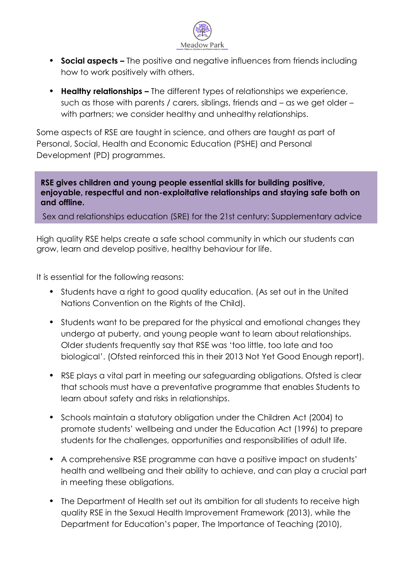

- **Social aspects –** The positive and negative influences from friends including how to work positively with others.
- **Healthy relationships –** The different types of relationships we experience, such as those with parents / carers, siblings, friends and – as we get older – with partners; we consider healthy and unhealthy relationships.

Some aspects of RSE are taught in science, and others are taught as part of Personal, Social, Health and Economic Education (PSHE) and Personal Development (PD) programmes.

#### **RSE gives children and young people essential skills for building positive, enjoyable, respectful and non-exploitative relationships and staying safe both on and offline.**

**Relationships and Sex Education at Meadow Park School.** Sex and relationships education (SRE) for the 21st century: Supplementary advice to the Sex and Relationship Education Guidance, Sex Education Forum, 2014

High quality RSE helps create a safe school community in which our students can grow, learn and develop positive, healthy behaviour for life.

It is essential for the following reasons:

- Students have a right to good quality education. (As set out in the United Nations Convention on the Rights of the Child).
- Students want to be prepared for the physical and emotional changes they undergo at puberty, and young people want to learn about relationships. Older students frequently say that RSE was 'too little, too late and too biological'. (Ofsted reinforced this in their 2013 Not Yet Good Enough report).
- RSE plays a vital part in meeting our safeguarding obligations. Ofsted is clear that schools must have a preventative programme that enables Students to learn about safety and risks in relationships.
- Schools maintain a statutory obligation under the Children Act (2004) to promote students' wellbeing and under the Education Act (1996) to prepare students for the challenges, opportunities and responsibilities of adult life.
- A comprehensive RSE programme can have a positive impact on students' health and wellbeing and their ability to achieve, and can play a crucial part in meeting these obligations.
- The Department of Health set out its ambition for all students to receive high quality RSE in the Sexual Health Improvement Framework (2013), while the Department for Education's paper, The Importance of Teaching (2010),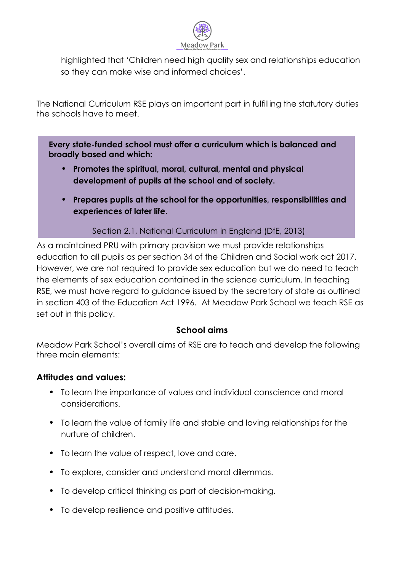

highlighted that 'Children need high quality sex and relationships education so they can make wise and informed choices'.

The National Curriculum RSE plays an important part in fulfilling the statutory duties the schools have to meet.

**Every state-funded school must offer a curriculum which is balanced and broadly based and which:**

- **Promotes the spiritual, moral, cultural, mental and physical development of pupils at the school and of society.**
- **Prepares pupils at the school for the opportunities, responsibilities and experiences of later life.**

Section 2.1, National Curriculum in England (DfE, 2013)

As a maintained PRU with primary provision we must provide relationships education to all pupils as per section 34 of the Children and Social work act 2017. However, we are not required to provide sex education but we do need to teach the elements of sex education contained in the science curriculum. In teaching RSE, we must have regard to guidance issued by the secretary of state as outlined in section 403 of the Education Act 1996. At Meadow Park School we teach RSE as set out in this policy.

# **School aims**

Meadow Park School's overall aims of RSE are to teach and develop the following three main elements:

# **Attitudes and values:**

- To learn the importance of values and individual conscience and moral considerations.
- To learn the value of family life and stable and loving relationships for the nurture of children.
- To learn the value of respect, love and care.
- To explore, consider and understand moral dilemmas.
- To develop critical thinking as part of decision-making.
- To develop resilience and positive attitudes.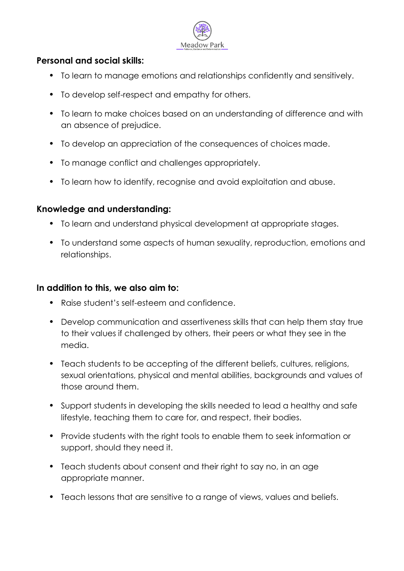

#### **Personal and social skills:**

- To learn to manage emotions and relationships confidently and sensitively.
- To develop self-respect and empathy for others.
- To learn to make choices based on an understanding of difference and with an absence of prejudice.
- To develop an appreciation of the consequences of choices made.
- To manage conflict and challenges appropriately.
- To learn how to identify, recognise and avoid exploitation and abuse.

#### **Knowledge and understanding:**

- To learn and understand physical development at appropriate stages.
- To understand some aspects of human sexuality, reproduction, emotions and relationships.

#### **In addition to this, we also aim to:**

- Raise student's self-esteem and confidence.
- Develop communication and assertiveness skills that can help them stay true to their values if challenged by others, their peers or what they see in the media.
- Teach students to be accepting of the different beliefs, cultures, religions, sexual orientations, physical and mental abilities, backgrounds and values of those around them.
- Support students in developing the skills needed to lead a healthy and safe lifestyle, teaching them to care for, and respect, their bodies.
- Provide students with the right tools to enable them to seek information or support, should they need it.
- Teach students about consent and their right to say no, in an age appropriate manner.
- Teach lessons that are sensitive to a range of views, values and beliefs.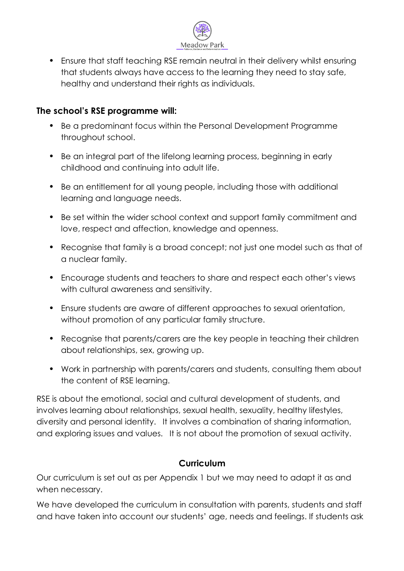

• Ensure that staff teaching RSE remain neutral in their delivery whilst ensuring that students always have access to the learning they need to stay safe, healthy and understand their rights as individuals.

#### **The school's RSE programme will:**

- Be a predominant focus within the Personal Development Programme throughout school.
- Be an integral part of the lifelong learning process, beginning in early childhood and continuing into adult life.
- Be an entitlement for all young people, including those with additional learning and language needs.
- Be set within the wider school context and support family commitment and love, respect and affection, knowledge and openness.
- Recognise that family is a broad concept; not just one model such as that of a nuclear family.
- Encourage students and teachers to share and respect each other's views with cultural awareness and sensitivity.
- Ensure students are aware of different approaches to sexual orientation, without promotion of any particular family structure.
- Recognise that parents/carers are the key people in teaching their children about relationships, sex, growing up.
- Work in partnership with parents/carers and students, consulting them about the content of RSE learning.

RSE is about the emotional, social and cultural development of students, and involves learning about relationships, sexual health, sexuality, healthy lifestyles, diversity and personal identity. It involves a combination of sharing information, and exploring issues and values. It is not about the promotion of sexual activity.

# **Curriculum**

Our curriculum is set out as per Appendix 1 but we may need to adapt it as and when necessary.

We have developed the curriculum in consultation with parents, students and staff and have taken into account our students' age, needs and feelings. If students ask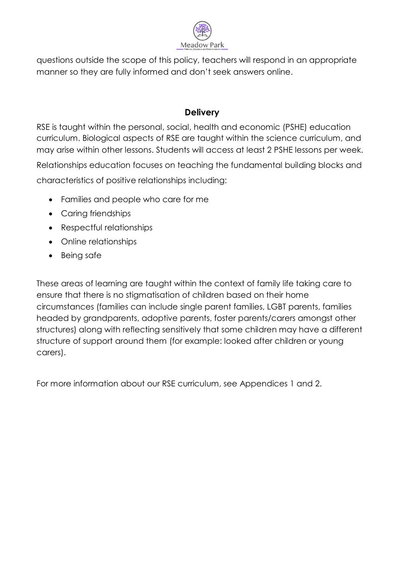

questions outside the scope of this policy, teachers will respond in an appropriate manner so they are fully informed and don't seek answers online.

### **Delivery**

RSE is taught within the personal, social, health and economic (PSHE) education curriculum. Biological aspects of RSE are taught within the science curriculum, and may arise within other lessons. Students will access at least 2 PSHE lessons per week.

Relationships education focuses on teaching the fundamental building blocks and characteristics of positive relationships including:

- Families and people who care for me
- Caring friendships
- Respectful relationships
- Online relationships
- Being safe

These areas of learning are taught within the context of family life taking care to ensure that there is no stigmatisation of children based on their home circumstances (families can include single parent families, LGBT parents, families headed by grandparents, adoptive parents, foster parents/carers amongst other structures) along with reflecting sensitively that some children may have a different structure of support around them (for example: looked after children or young carers).

For more information about our RSE curriculum, see Appendices 1 and 2.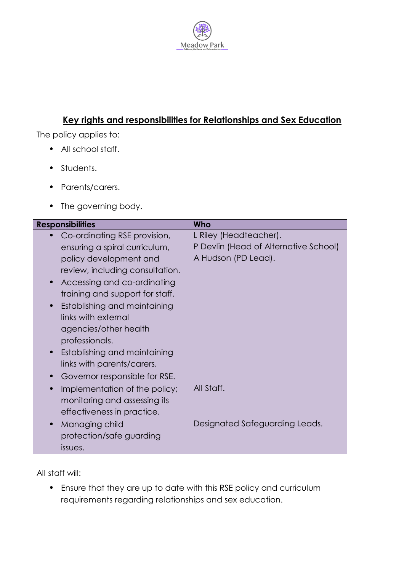

# **Key rights and responsibilities for Relationships and Sex Education**

The policy applies to:

- All school staff.
- Students.
- Parents/carers.
- The governing body.

| <b>Responsibilities</b>         | Who                                   |
|---------------------------------|---------------------------------------|
| Co-ordinating RSE provision,    | L Riley (Headteacher).                |
| ensuring a spiral curriculum,   | P Devlin (Head of Alternative School) |
| policy development and          | A Hudson (PD Lead).                   |
| review, including consultation. |                                       |
| Accessing and co-ordinating     |                                       |
| training and support for staff. |                                       |
| Establishing and maintaining    |                                       |
| links with external             |                                       |
| agencies/other health           |                                       |
| professionals.                  |                                       |
| Establishing and maintaining    |                                       |
| links with parents/carers.      |                                       |
| Governor responsible for RSE.   |                                       |
| Implementation of the policy;   | All Staff.                            |
| monitoring and assessing its    |                                       |
| effectiveness in practice.      |                                       |
| Managing child                  | Designated Safeguarding Leads.        |
| protection/safe guarding        |                                       |
| issues.                         |                                       |

All staff will:

• Ensure that they are up to date with this RSE policy and curriculum requirements regarding relationships and sex education.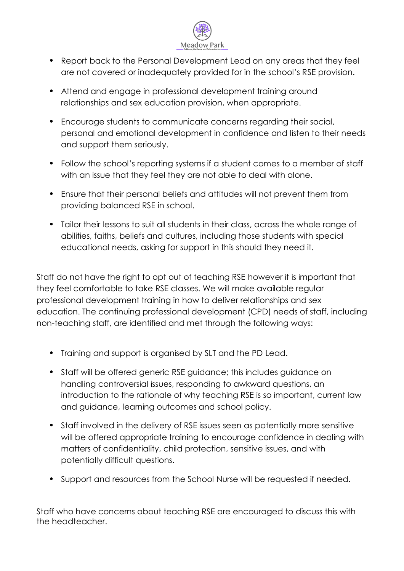

- Report back to the Personal Development Lead on any areas that they feel are not covered or inadequately provided for in the school's RSE provision.
- Attend and engage in professional development training around relationships and sex education provision, when appropriate.
- Encourage students to communicate concerns regarding their social, personal and emotional development in confidence and listen to their needs and support them seriously.
- Follow the school's reporting systems if a student comes to a member of staff with an issue that they feel they are not able to deal with alone.
- Ensure that their personal beliefs and attitudes will not prevent them from providing balanced RSE in school.
- Tailor their lessons to suit all students in their class, across the whole range of abilities, faiths, beliefs and cultures, including those students with special educational needs, asking for support in this should they need it.

Staff do not have the right to opt out of teaching RSE however it is important that they feel comfortable to take RSE classes. We will make available regular professional development training in how to deliver relationships and sex education. The continuing professional development (CPD) needs of staff, including non-teaching staff, are identified and met through the following ways:

- Training and support is organised by SLT and the PD Lead.
- Staff will be offered generic RSE guidance; this includes guidance on handling controversial issues, responding to awkward questions, an introduction to the rationale of why teaching RSE is so important, current law and guidance, learning outcomes and school policy.
- Staff involved in the delivery of RSE issues seen as potentially more sensitive will be offered appropriate training to encourage confidence in dealing with matters of confidentiality, child protection, sensitive issues, and with potentially difficult questions.
- Support and resources from the School Nurse will be requested if needed.

Staff who have concerns about teaching RSE are encouraged to discuss this with the headteacher.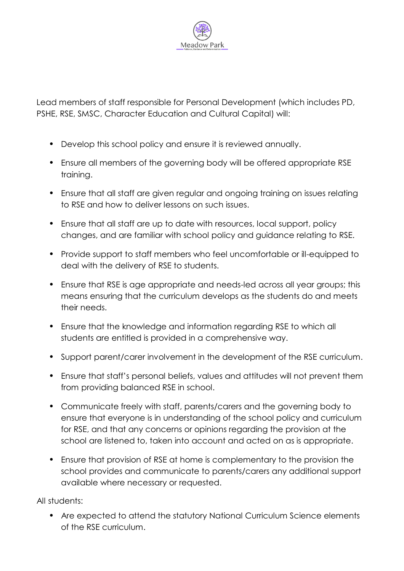

Lead members of staff responsible for Personal Development (which includes PD, PSHE, RSE, SMSC, Character Education and Cultural Capital) will:

- Develop this school policy and ensure it is reviewed annually.
- Ensure all members of the governing body will be offered appropriate RSE training.
- Ensure that all staff are given regular and ongoing training on issues relating to RSE and how to deliver lessons on such issues.
- Ensure that all staff are up to date with resources, local support, policy changes, and are familiar with school policy and guidance relating to RSE.
- Provide support to staff members who feel uncomfortable or ill-equipped to deal with the delivery of RSE to students.
- Ensure that RSE is age appropriate and needs-led across all year groups; this means ensuring that the curriculum develops as the students do and meets their needs.
- Ensure that the knowledge and information regarding RSE to which all students are entitled is provided in a comprehensive way.
- Support parent/carer involvement in the development of the RSE curriculum.
- Ensure that staff's personal beliefs, values and attitudes will not prevent them from providing balanced RSE in school.
- Communicate freely with staff, parents/carers and the governing body to ensure that everyone is in understanding of the school policy and curriculum for RSE, and that any concerns or opinions regarding the provision at the school are listened to, taken into account and acted on as is appropriate.
- Ensure that provision of RSE at home is complementary to the provision the school provides and communicate to parents/carers any additional support available where necessary or requested.

All students:

• Are expected to attend the statutory National Curriculum Science elements of the RSE curriculum.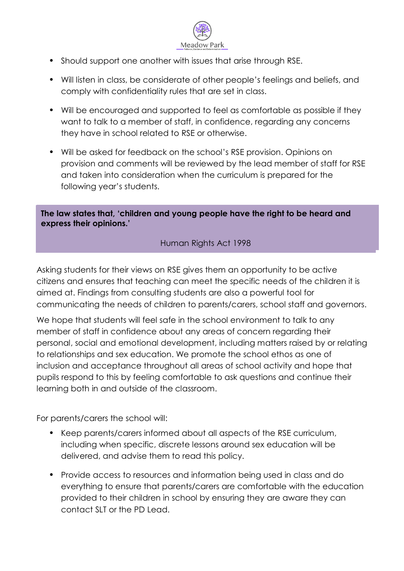

- Should support one another with issues that arise through RSE.
- Will listen in class, be considerate of other people's feelings and beliefs, and comply with confidentiality rules that are set in class.
- Will be encouraged and supported to feel as comfortable as possible if they want to talk to a member of staff, in confidence, regarding any concerns they have in school related to RSE or otherwise.
- Will be asked for feedback on the school's RSE provision. Opinions on provision and comments will be reviewed by the lead member of staff for RSE and taken into consideration when the curriculum is prepared for the following year's students.

**The law states that, 'children and young people have the right to be heard and express their opinions.'**

#### Human Rights Act 1998

Asking students for their views on RSE gives them an opportunity to be active citizens and ensures that teaching can meet the specific needs of the children it is aimed at. Findings from consulting students are also a powerful tool for communicating the needs of children to parents/carers, school staff and governors.

We hope that students will feel safe in the school environment to talk to any member of staff in confidence about any areas of concern regarding their personal, social and emotional development, including matters raised by or relating to relationships and sex education. We promote the school ethos as one of inclusion and acceptance throughout all areas of school activity and hope that pupils respond to this by feeling comfortable to ask questions and continue their learning both in and outside of the classroom.

For parents/carers the school will:

- Keep parents/carers informed about all aspects of the RSE curriculum, including when specific, discrete lessons around sex education will be delivered, and advise them to read this policy.
- Provide access to resources and information being used in class and do everything to ensure that parents/carers are comfortable with the education provided to their children in school by ensuring they are aware they can contact SLT or the PD Lead.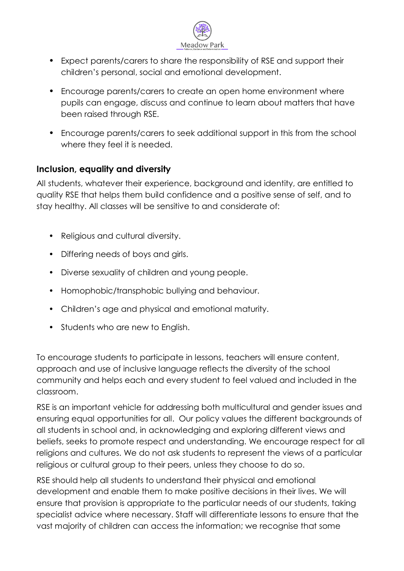

- Expect parents/carers to share the responsibility of RSE and support their children's personal, social and emotional development.
- Encourage parents/carers to create an open home environment where pupils can engage, discuss and continue to learn about matters that have been raised through RSE.
- Encourage parents/carers to seek additional support in this from the school where they feel it is needed.

# **Inclusion, equality and diversity**

All students, whatever their experience, background and identity, are entitled to quality RSE that helps them build confidence and a positive sense of self, and to stay healthy. All classes will be sensitive to and considerate of:

- Religious and cultural diversity.
- Differing needs of boys and girls.
- Diverse sexuality of children and young people.
- Homophobic/transphobic bullying and behaviour.
- Children's age and physical and emotional maturity.
- Students who are new to English.

To encourage students to participate in lessons, teachers will ensure content, approach and use of inclusive language reflects the diversity of the school community and helps each and every student to feel valued and included in the classroom.

RSE is an important vehicle for addressing both multicultural and gender issues and ensuring equal opportunities for all. Our policy values the different backgrounds of all students in school and, in acknowledging and exploring different views and beliefs, seeks to promote respect and understanding. We encourage respect for all religions and cultures. We do not ask students to represent the views of a particular religious or cultural group to their peers, unless they choose to do so.

RSE should help all students to understand their physical and emotional development and enable them to make positive decisions in their lives. We will ensure that provision is appropriate to the particular needs of our students, taking specialist advice where necessary. Staff will differentiate lessons to ensure that the vast majority of children can access the information; we recognise that some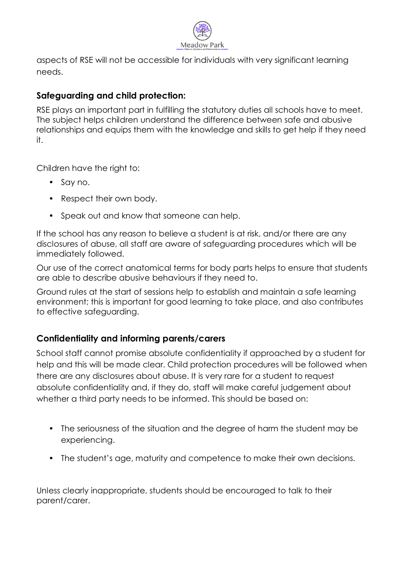

aspects of RSE will not be accessible for individuals with very significant learning needs.

## **Safeguarding and child protection:**

RSE plays an important part in fulfilling the statutory duties all schools have to meet. The subject helps children understand the difference between safe and abusive relationships and equips them with the knowledge and skills to get help if they need it.

Children have the right to:

- Say no.
- Respect their own body.
- Speak out and know that someone can help.

If the school has any reason to believe a student is at risk, and/or there are any disclosures of abuse, all staff are aware of safeguarding procedures which will be immediately followed.

Our use of the correct anatomical terms for body parts helps to ensure that students are able to describe abusive behaviours if they need to.

Ground rules at the start of sessions help to establish and maintain a safe learning environment; this is important for good learning to take place, and also contributes to effective safeguarding.

# **Confidentiality and informing parents/carers**

School staff cannot promise absolute confidentiality if approached by a student for help and this will be made clear. Child protection procedures will be followed when there are any disclosures about abuse. It is very rare for a student to request absolute confidentiality and, if they do, staff will make careful judgement about whether a third party needs to be informed. This should be based on:

- The seriousness of the situation and the degree of harm the student may be experiencing.
- The student's age, maturity and competence to make their own decisions.

Unless clearly inappropriate, students should be encouraged to talk to their parent/carer.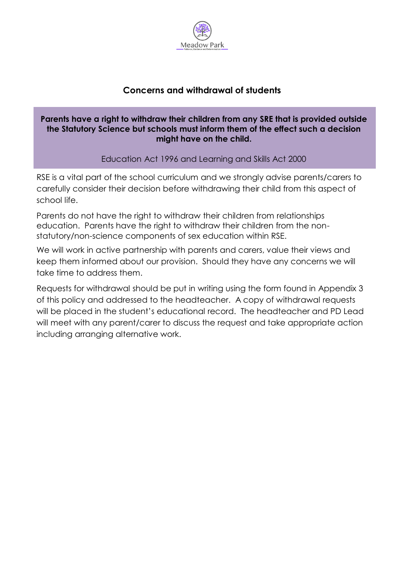

# **Concerns and withdrawal of students**

#### **Parents have a right to withdraw their children from any SRE that is provided outside the Statutory Science but schools must inform them of the effect such a decision might have on the child.**

Education Act 1996 and Learning and Skills Act 2000

RSE is a vital part of the school curriculum and we strongly advise parents/carers to carefully consider their decision before withdrawing their child from this aspect of school life.

Parents do not have the right to withdraw their children from relationships education. Parents have the right to withdraw their children from the nonstatutory/non-science components of sex education within RSE.

We will work in active partnership with parents and carers, value their views and keep them informed about our provision. Should they have any concerns we will take time to address them.

Requests for withdrawal should be put in writing using the form found in Appendix 3 of this policy and addressed to the headteacher. A copy of withdrawal requests will be placed in the student's educational record. The headteacher and PD Lead will meet with any parent/carer to discuss the request and take appropriate action including arranging alternative work.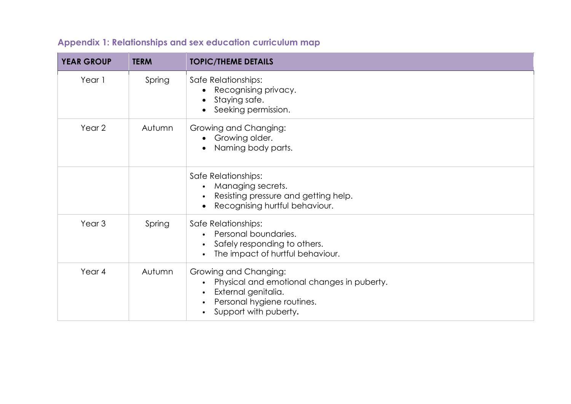| <b>YEAR GROUP</b> | <b>TERM</b> | <b>TOPIC/THEME DETAILS</b>                                                                                                                                     |
|-------------------|-------------|----------------------------------------------------------------------------------------------------------------------------------------------------------------|
| Year 1            | Spring      | Safe Relationships:<br>Recognising privacy.<br>Staying safe.<br>Seeking permission.                                                                            |
| Year 2            | Autumn      | Growing and Changing:<br>• Growing older.<br>Naming body parts.<br>$\bullet$                                                                                   |
|                   |             | Safe Relationships:<br>Managing secrets.<br>Resisting pressure and getting help.<br>Recognising hurtful behaviour.                                             |
| Year <sub>3</sub> | Spring      | Safe Relationships:<br>Personal boundaries.<br>$\bullet$<br>Safely responding to others.<br>The impact of hurtful behaviour.<br>$\bullet$                      |
| Year 4            | Autumn      | Growing and Changing:<br>Physical and emotional changes in puberty.<br>External genitalia.<br>Personal hygiene routines.<br>Support with puberty.<br>$\bullet$ |

# **Appendix 1: Relationships and sex education curriculum map**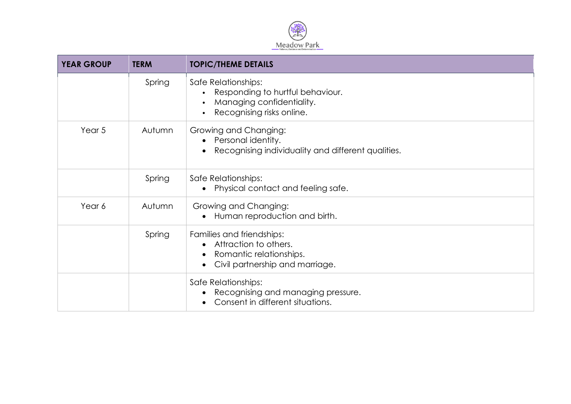

| <b>YEAR GROUP</b> | <b>TERM</b> | <b>TOPIC/THEME DETAILS</b>                                                                                                                  |
|-------------------|-------------|---------------------------------------------------------------------------------------------------------------------------------------------|
|                   | Spring      | Safe Relationships:<br>Responding to hurtful behaviour.<br>Managing confidentiality.<br>$\bullet$<br>Recognising risks online.<br>$\bullet$ |
| Year 5            | Autumn      | Growing and Changing:<br>Personal identity.<br>$\bullet$<br>Recognising individuality and different qualities.                              |
|                   | Spring      | Safe Relationships:<br>Physical contact and feeling safe.                                                                                   |
| Year 6            | Autumn      | Growing and Changing:<br>Human reproduction and birth.                                                                                      |
|                   | Spring      | Families and friendships:<br>Attraction to others.<br>$\bullet$<br>Romantic relationships.<br>Civil partnership and marriage.               |
|                   |             | Safe Relationships:<br>Recognising and managing pressure.<br>Consent in different situations.<br>$\bullet$                                  |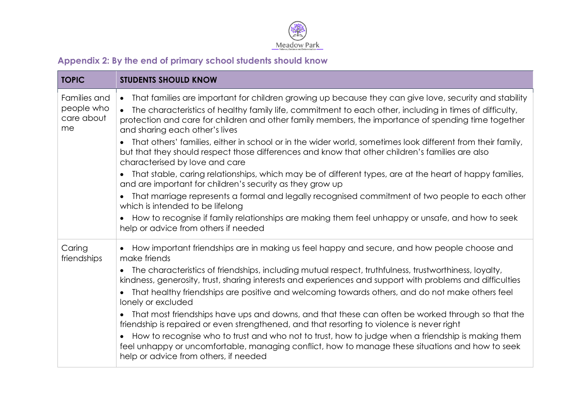

# **Appendix 2: By the end of primary school students should know**

| <b>TOPIC</b>                                   | <b>STUDENTS SHOULD KNOW</b>                                                                                                                                                                                                                                                                                                                                                          |
|------------------------------------------------|--------------------------------------------------------------------------------------------------------------------------------------------------------------------------------------------------------------------------------------------------------------------------------------------------------------------------------------------------------------------------------------|
| Families and<br>people who<br>care about<br>me | That families are important for children growing up because they can give love, security and stability<br>$\bullet$<br>The characteristics of healthy family life, commitment to each other, including in times of difficulty,<br>$\bullet$<br>protection and care for children and other family members, the importance of spending time together<br>and sharing each other's lives |
|                                                | That others' families, either in school or in the wider world, sometimes look different from their family,<br>but that they should respect those differences and know that other children's families are also<br>characterised by love and care                                                                                                                                      |
|                                                | That stable, caring relationships, which may be of different types, are at the heart of happy families,<br>and are important for children's security as they grow up                                                                                                                                                                                                                 |
|                                                | That marriage represents a formal and legally recognised commitment of two people to each other<br>which is intended to be lifelong                                                                                                                                                                                                                                                  |
|                                                | How to recognise if family relationships are making them feel unhappy or unsafe, and how to seek<br>help or advice from others if needed                                                                                                                                                                                                                                             |
| Caring<br>friendships                          | How important friendships are in making us feel happy and secure, and how people choose and<br>make friends                                                                                                                                                                                                                                                                          |
|                                                | The characteristics of friendships, including mutual respect, truthfulness, trustworthiness, loyalty,<br>kindness, generosity, trust, sharing interests and experiences and support with problems and difficulties                                                                                                                                                                   |
|                                                | That healthy friendships are positive and welcoming towards others, and do not make others feel<br>lonely or excluded                                                                                                                                                                                                                                                                |
|                                                | That most friendships have ups and downs, and that these can often be worked through so that the<br>friendship is repaired or even strengthened, and that resorting to violence is never right                                                                                                                                                                                       |
|                                                | How to recognise who to trust and who not to trust, how to judge when a friendship is making them<br>feel unhappy or uncomfortable, managing conflict, how to manage these situations and how to seek<br>help or advice from others, if needed                                                                                                                                       |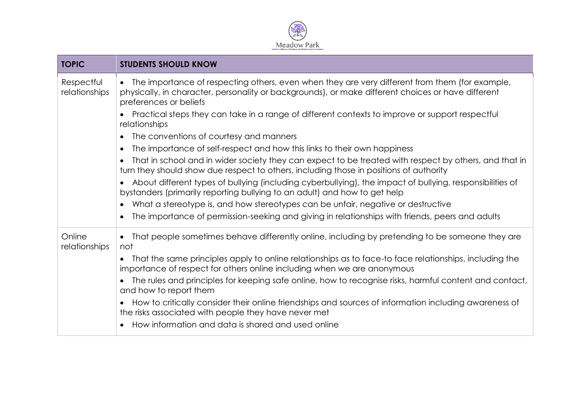

| <b>TOPIC</b>                | <b>STUDENTS SHOULD KNOW</b>                                                                                                                                                                                                    |
|-----------------------------|--------------------------------------------------------------------------------------------------------------------------------------------------------------------------------------------------------------------------------|
| Respectful<br>relationships | The importance of respecting others, even when they are very different from them (for example,<br>physically, in character, personality or backgrounds), or make different choices or have different<br>preferences or beliefs |
|                             | Practical steps they can take in a range of different contexts to improve or support respectful<br>relationships                                                                                                               |
|                             | The conventions of courtesy and manners                                                                                                                                                                                        |
|                             | The importance of self-respect and how this links to their own happiness                                                                                                                                                       |
|                             | That in school and in wider society they can expect to be treated with respect by others, and that in<br>turn they should show due respect to others, including those in positions of authority                                |
|                             | About different types of bullying (including cyberbullying), the impact of bullying, responsibilities of<br>bystanders (primarily reporting bullying to an adult) and how to get help                                          |
|                             | What a stereotype is, and how stereotypes can be unfair, negative or destructive                                                                                                                                               |
|                             | The importance of permission-seeking and giving in relationships with friends, peers and adults                                                                                                                                |
| Online<br>relationships     | That people sometimes behave differently online, including by pretending to be someone they are<br>$\bullet$<br>not                                                                                                            |
|                             | That the same principles apply to online relationships as to face-to face relationships, including the<br>importance of respect for others online including when we are anonymous                                              |
|                             | The rules and principles for keeping safe online, how to recognise risks, harmful content and contact,<br>and how to report them                                                                                               |
|                             | How to critically consider their online friendships and sources of information including awareness of<br>the risks associated with people they have never met                                                                  |
|                             | How information and data is shared and used online                                                                                                                                                                             |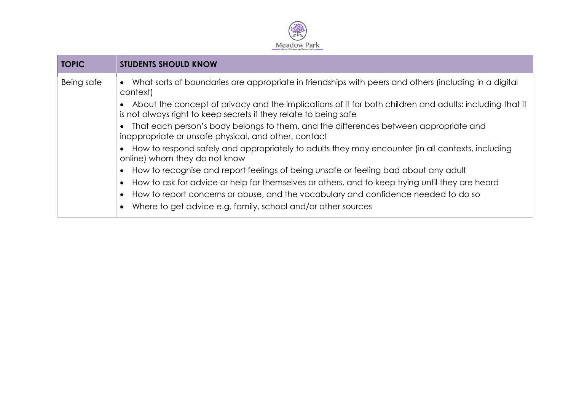

| <b>TOPIC</b> | <b>STUDENTS SHOULD KNOW</b>                                                                                                                                                 |
|--------------|-----------------------------------------------------------------------------------------------------------------------------------------------------------------------------|
| Being safe   | What sorts of boundaries are appropriate in friendships with peers and others (including in a digital<br>$\bullet$<br>context)                                              |
|              | About the concept of privacy and the implications of it for both children and adults; including that it<br>is not always right to keep secrets if they relate to being safe |
|              | That each person's body belongs to them, and the differences between appropriate and<br>inappropriate or unsafe physical, and other, contact                                |
|              | How to respond safely and appropriately to adults they may encounter (in all contexts, including<br>online) whom they do not know                                           |
|              | How to recognise and report feelings of being unsafe or feeling bad about any adult<br>$\bullet$                                                                            |
|              | How to ask for advice or help for themselves or others, and to keep trying until they are heard<br>$\bullet$                                                                |
|              | How to report concerns or abuse, and the vocabulary and confidence needed to do so<br>$\bullet$                                                                             |
|              | Where to get advice e.g. family, school and/or other sources<br>$\bullet$                                                                                                   |